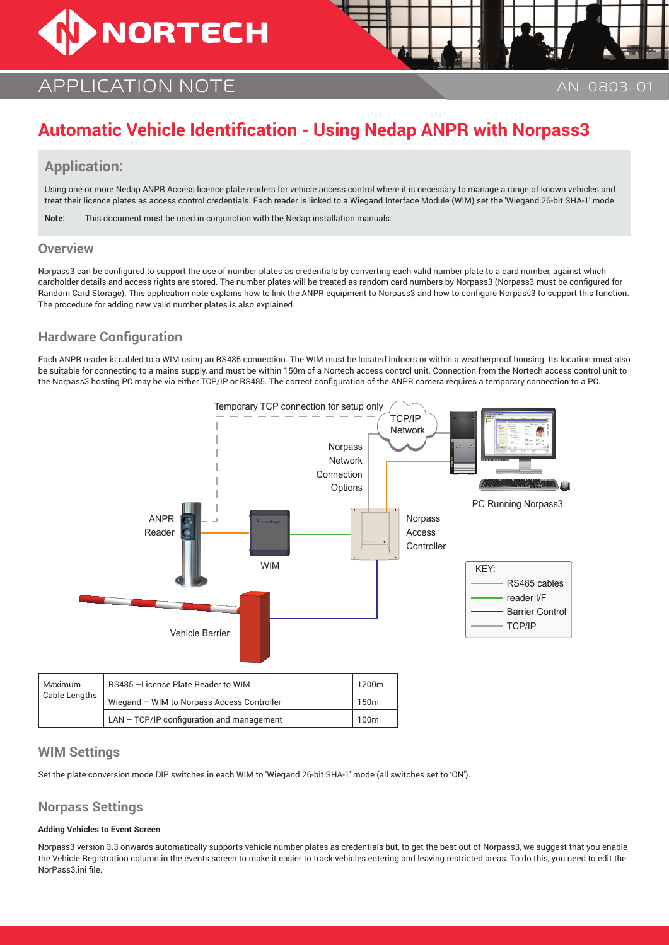# **NORTECH**

# APPLICATION NOTE AN-0803-01

# **Automatic Vehicle Identification - Using Nedap ANPR with Norpass3**

# **Application:**

Using one or more Nedap ANPR Access licence plate readers for vehicle access control where it is necessary to manage a range of known vehicles and treat their licence plates as access control credentials. Each reader is linked to a Wiegand Interface Module (WIM) set the 'Wiegand 26-bit SHA-1' mode.

**Note:** This document must be used in conjunction with the Nedap installation manuals.

#### **Overview**

Norpass3 can be configured to support the use of number plates as credentials by converting each valid number plate to a card number, against which cardholder details and access rights are stored. The number plates will be treated as random card numbers by Norpass3 (Norpass3 must be configured for Random Card Storage). This application note explains how to link the ANPR equipment to Norpass3 and how to configure Norpass3 to support this function. The procedure for adding new valid number plates is also explained.

# **Hardware Configuration**

Each ANPR reader is cabled to a WIM using an RS485 connection. The WIM must be located indoors or within a weatherproof housing. Its location must also be suitable for connecting to a mains supply, and must be within 150m of a Nortech access control unit. Connection from the Nortech access control unit to the Norpass3 hosting PC may be via either TCP/IP or RS485. The correct configuration of the ANPR camera requires a temporary connection to a PC.



## **WIM Settings**

Set the plate conversion mode DIP switches in each WIM to 'Wiegand 26-bit SHA-1' mode (all switches set to 'ON').

## **Norpass Settings**

#### **Adding Vehicles to Event Screen**

Norpass3 version 3.3 onwards automatically supports vehicle number plates as credentials but, to get the best out of Norpass3, we suggest that you enable the Vehicle Registration column in the events screen to make it easier to track vehicles entering and leaving restricted areas. To do this, you need to edit the NorPass3.ini file.